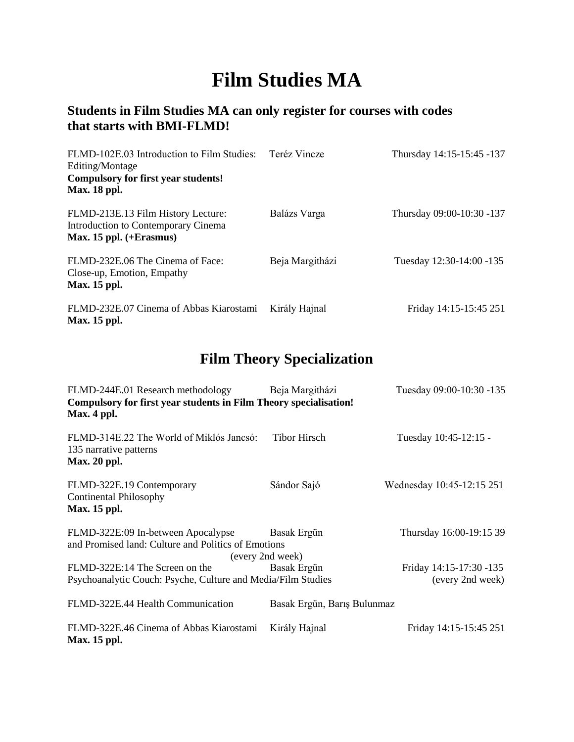# **Film Studies MA**

### **Students in Film Studies MA can only register for courses with codes that starts with BMI-FLMD!**

| FLMD-102E.03 Introduction to Film Studies:<br>Editing/Montage<br><b>Compulsory for first year students!</b><br><b>Max. 18 ppl.</b> | Teréz Vincze    | Thursday 14:15-15:45 -137 |
|------------------------------------------------------------------------------------------------------------------------------------|-----------------|---------------------------|
| FLMD-213E.13 Film History Lecture:<br>Introduction to Contemporary Cinema<br>Max. 15 ppl. $(+E$ rasmus)                            | Balázs Varga    | Thursday 09:00-10:30 -137 |
| FLMD-232E.06 The Cinema of Face:<br>Close-up, Emotion, Empathy<br>Max. 15 ppl.                                                     | Beja Margitházi | Tuesday 12:30-14:00 -135  |
| FLMD-232E.07 Cinema of Abbas Kiarostami<br>Max. 15 ppl.                                                                            | Király Hajnal   | Friday 14:15-15:45 251    |

## **Film Theory Specialization**

| FLMD-244E.01 Research methodology<br>Compulsory for first year students in Film Theory specialisation!<br>Max. 4 ppl. | Beja Margitházi                 | Tuesday 09:00-10:30 -135                    |
|-----------------------------------------------------------------------------------------------------------------------|---------------------------------|---------------------------------------------|
| FLMD-314E.22 The World of Miklós Jancsó:<br>135 narrative patterns<br>Max. 20 ppl.                                    | <b>Tibor Hirsch</b>             | Tuesday 10:45-12:15 -                       |
| FLMD-322E.19 Contemporary<br><b>Continental Philosophy</b><br>Max. 15 ppl.                                            | Sándor Sajó                     | Wednesday 10:45-12:15 251                   |
| FLMD-322E:09 In-between Apocalypse<br>and Promised land: Culture and Politics of Emotions                             | Basak Ergün<br>(every 2nd week) | Thursday 16:00-19:15 39                     |
| FLMD-322E:14 The Screen on the<br>Psychoanalytic Couch: Psyche, Culture and Media/Film Studies                        | Basak Ergün                     | Friday 14:15-17:30 -135<br>(every 2nd week) |
| FLMD-322E.44 Health Communication                                                                                     | Basak Ergün, Barış Bulunmaz     |                                             |
| FLMD-322E.46 Cinema of Abbas Kiarostami<br>Max. 15 ppl.                                                               | Király Hajnal                   | Friday 14:15-15:45 251                      |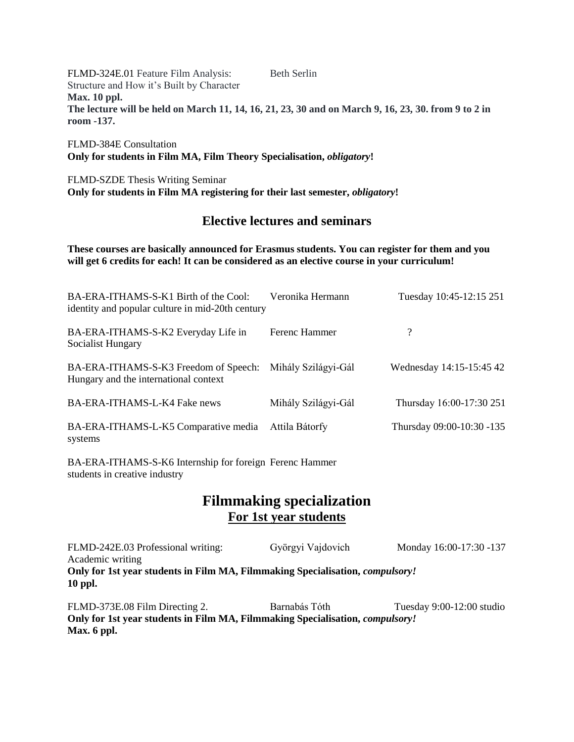FLMD-324E.01 Feature Film Analysis: Beth Serlin Structure and How it's Built by Character **Max. 10 ppl. The lecture will be held on March 11, 14, 16, 21, 23, 30 and on March 9, 16, 23, 30. from 9 to 2 in room -137.**

FLMD-384E Consultation **Only for students in Film MA, Film Theory Specialisation,** *obligatory***!** 

FLMD-SZDE Thesis Writing Seminar **Only for students in Film MA registering for their last semester,** *obligatory***!** 

#### **Elective lectures and seminars**

**These courses are basically announced for Erasmus students. You can register for them and you will get 6 credits for each! It can be considered as an elective course in your curriculum!** 

| BA-ERA-ITHAMS-S-K1 Birth of the Cool:<br>identity and popular culture in mid-20th century | Veronika Hermann    | Tuesday 10:45-12:15 251   |
|-------------------------------------------------------------------------------------------|---------------------|---------------------------|
| BA-ERA-ITHAMS-S-K2 Everyday Life in<br>Socialist Hungary                                  | Ferenc Hammer       | $\overline{\mathcal{L}}$  |
| BA-ERA-ITHAMS-S-K3 Freedom of Speech:<br>Hungary and the international context            | Mihály Szilágyi-Gál | Wednesday 14:15-15:45 42  |
| BA-ERA-ITHAMS-L-K4 Fake news                                                              | Mihály Szilágyi-Gál | Thursday 16:00-17:30 251  |
| BA-ERA-ITHAMS-L-K5 Comparative media<br>systems                                           | Attila Bátorfy      | Thursday 09:00-10:30 -135 |

BA-ERA-ITHAMS-S-K6 Internship for foreign Ferenc Hammer students in creative industry

### **Filmmaking specialization For 1st year students**

FLMD-242E.03 Professional writing: Györgyi Vajdovich Monday 16:00-17:30 -137 Academic writing **Only for 1st year students in Film MA, Filmmaking Specialisation,** *compulsory!* **10 ppl.**

FLMD-373E.08 Film Directing 2. Barnabás Tóth Tuesday 9:00-12:00 studio **Only for 1st year students in Film MA, Filmmaking Specialisation,** *compulsory!* **Max. 6 ppl.**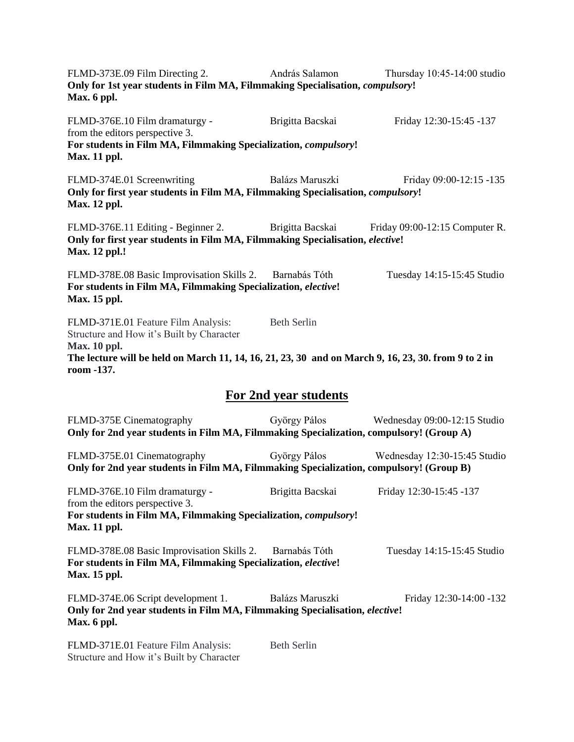FLMD-373E.09 Film Directing 2. András Salamon Thursday 10:45-14:00 studio **Only for 1st year students in Film MA, Filmmaking Specialisation,** *compulsory***! Max. 6 ppl.**  FLMD-376E.10 Film dramaturgy - Brigitta Bacskai Friday 12:30-15:45 -137 from the editors perspective 3. **For students in Film MA, Filmmaking Specialization,** *compulsory***! Max. 11 ppl.**  FLMD-374E.01 Screenwriting Balázs Maruszki Friday 09:00-12:15 -135 **Only for first year students in Film MA, Filmmaking Specialisation,** *compulsory***! Max. 12 ppl.**  FLMD-376E.11 Editing - Beginner 2. Brigitta Bacskai Friday 09:00-12:15 Computer R. **Only for first year students in Film MA, Filmmaking Specialisation,** *elective***! Max. 12 ppl.!**  FLMD-378E.08 Basic Improvisation Skills 2. Barnabás Tóth Tuesday 14:15-15:45 Studio **For students in Film MA, Filmmaking Specialization,** *elective***! Max. 15 ppl.**  FLMD-371E.01 Feature Film Analysis: Beth Serlin Structure and How it's Built by Character **Max. 10 ppl. The lecture will be held on March 11, 14, 16, 21, 23, 30 and on March 9, 16, 23, 30. from 9 to 2 in room -137. For 2nd year students** FLMD-375E Cinematography György Pálos Wednesday 09:00-12:15 Studio **Only for 2nd year students in Film MA, Filmmaking Specialization, compulsory! (Group A)**  FLMD-375E.01 Cinematography György Pálos Wednesday 12:30-15:45 Studio **Only for 2nd year students in Film MA, Filmmaking Specialization, compulsory! (Group B)**  FLMD-376E.10 Film dramaturgy - Brigitta Bacskai Friday 12:30-15:45 -137 from the editors perspective 3. **For students in Film MA, Filmmaking Specialization,** *compulsory***! Max. 11 ppl.**  FLMD-378E.08 Basic Improvisation Skills 2. Barnabás Tóth Tuesday 14:15-15:45 Studio **For students in Film MA, Filmmaking Specialization,** *elective***! Max. 15 ppl.**  FLMD-374E.06 Script development 1. Balázs Maruszki Friday 12:30-14:00 -132 **Only for 2nd year students in Film MA, Filmmaking Specialisation,** *elective***! Max. 6 ppl.**  FLMD-371E.01 Feature Film Analysis: Beth Serlin Structure and How it's Built by Character